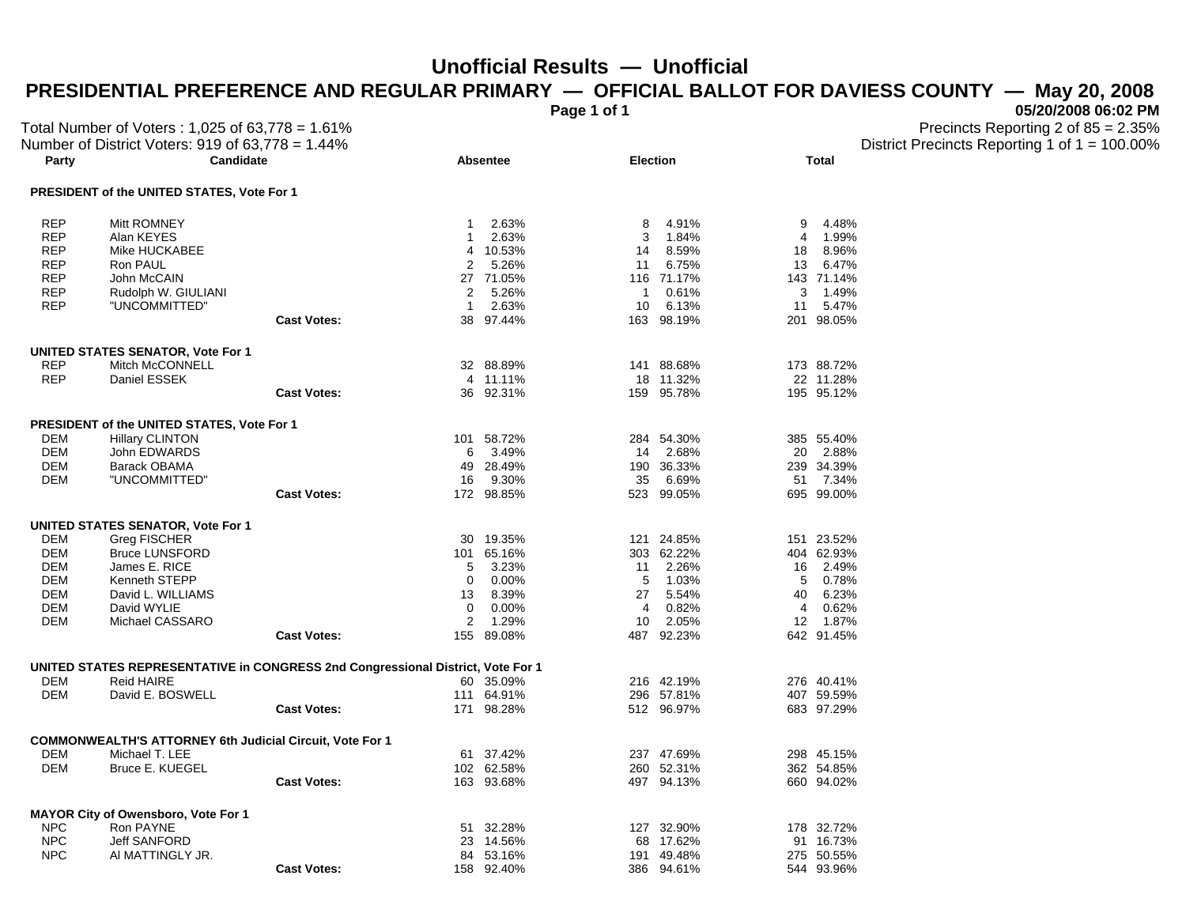## **Unofficial Results — Unofficial**

## PRESIDENTIAL PREFERENCE AND REGULAR PRIMARY — OFFICIAL BALLOT FOR DAVIESS COUNTY — May 20, 2008<br>05/20/2008 06:02 PM

**Page 1 of 1 05/20/2008 06:02 PM** 

| Total Number of Voters: 1,025 of 63,778 = 1.61%<br>Number of District Voters: 919 of 63,778 = 1.44% |                                                                                 |                    |              |                     |                 |                     |                 | Precincts Reporting 2 of 85 = 2.35%<br>District Precincts Reporting 1 of $1 = 100.00\%$ |  |  |
|-----------------------------------------------------------------------------------------------------|---------------------------------------------------------------------------------|--------------------|--------------|---------------------|-----------------|---------------------|-----------------|-----------------------------------------------------------------------------------------|--|--|
| Party                                                                                               | Candidate                                                                       |                    |              | <b>Absentee</b>     | <b>Election</b> |                     |                 | <b>Total</b>                                                                            |  |  |
|                                                                                                     | PRESIDENT of the UNITED STATES, Vote For 1                                      |                    |              |                     |                 |                     |                 |                                                                                         |  |  |
| <b>REP</b>                                                                                          | Mitt ROMNEY                                                                     |                    | $\mathbf{1}$ | 2.63%               | 8               | 4.91%               | 9               | 4.48%                                                                                   |  |  |
| <b>REP</b>                                                                                          | Alan KEYES                                                                      |                    | -1           | 2.63%               | 3               | 1.84%               | 4               | 1.99%                                                                                   |  |  |
| <b>REP</b>                                                                                          | Mike HUCKABEE                                                                   |                    | 4            | 10.53%              | 14              | 8.59%               | 18              | 8.96%                                                                                   |  |  |
| <b>REP</b>                                                                                          | Ron PAUL                                                                        |                    | 2            | 5.26%               | 11              | 6.75%               | 13              | 6.47%                                                                                   |  |  |
| <b>REP</b>                                                                                          | John McCAIN                                                                     |                    | 27           | 71.05%              |                 | 116 71.17%          |                 | 143 71.14%                                                                              |  |  |
| <b>REP</b>                                                                                          | Rudolph W. GIULIANI                                                             |                    | 2            | 5.26%               | $\mathbf{1}$    | 0.61%               | 3               | 1.49%                                                                                   |  |  |
| <b>REP</b>                                                                                          | "UNCOMMITTED"                                                                   |                    | $\mathbf{1}$ | 2.63%               | 10              | 6.13%               | 11              | 5.47%                                                                                   |  |  |
|                                                                                                     |                                                                                 | <b>Cast Votes:</b> |              | 38 97.44%           |                 | 163 98.19%          |                 | 201 98.05%                                                                              |  |  |
|                                                                                                     | <b>UNITED STATES SENATOR, Vote For 1</b>                                        |                    |              |                     |                 |                     |                 |                                                                                         |  |  |
| <b>REP</b>                                                                                          | Mitch McCONNELL                                                                 |                    |              | 32 88.89%           |                 | 141 88.68%          |                 | 173 88.72%                                                                              |  |  |
| <b>REP</b>                                                                                          | Daniel ESSEK                                                                    |                    | 4            | 11.11%              | 18              | 11.32%              |                 | 22 11.28%                                                                               |  |  |
|                                                                                                     |                                                                                 | <b>Cast Votes:</b> | 36           | 92.31%              |                 | 159 95.78%          |                 | 195 95.12%                                                                              |  |  |
|                                                                                                     |                                                                                 |                    |              |                     |                 |                     |                 |                                                                                         |  |  |
|                                                                                                     | PRESIDENT of the UNITED STATES, Vote For 1                                      |                    |              |                     |                 |                     |                 |                                                                                         |  |  |
| DEM                                                                                                 | <b>Hillary CLINTON</b>                                                          |                    | 101          | 58.72%              |                 | 284 54.30%          |                 | 385 55.40%                                                                              |  |  |
| <b>DEM</b>                                                                                          | John EDWARDS                                                                    |                    | 6            | 3.49%               | 14              | 2.68%               |                 | 20 2.88%                                                                                |  |  |
| <b>DEM</b>                                                                                          | <b>Barack OBAMA</b>                                                             |                    | 49           | 28.49%              |                 | 190 36.33%          |                 | 239 34.39%                                                                              |  |  |
| <b>DEM</b>                                                                                          | "UNCOMMITTED"                                                                   | <b>Cast Votes:</b> | 16           | 9.30%<br>172 98.85% | 35              | 6.69%<br>523 99.05% |                 | 51 7.34%<br>695 99.00%                                                                  |  |  |
|                                                                                                     |                                                                                 |                    |              |                     |                 |                     |                 |                                                                                         |  |  |
|                                                                                                     | <b>UNITED STATES SENATOR, Vote For 1</b>                                        |                    |              |                     |                 |                     |                 |                                                                                         |  |  |
| <b>DEM</b>                                                                                          | Greg FISCHER                                                                    |                    | 30           | 19.35%              |                 | 121 24.85%          |                 | 151 23.52%                                                                              |  |  |
| <b>DEM</b>                                                                                          | <b>Bruce LUNSFORD</b>                                                           |                    | 101          | 65.16%              |                 | 303 62.22%          |                 | 404 62.93%                                                                              |  |  |
| <b>DEM</b>                                                                                          | James E. RICE                                                                   |                    | 5            | 3.23%               | 11              | 2.26%               | 16              | 2.49%                                                                                   |  |  |
| <b>DEM</b>                                                                                          | Kenneth STEPP                                                                   |                    | 0            | 0.00%               | 5               | 1.03%               | 5               | 0.78%                                                                                   |  |  |
| <b>DEM</b>                                                                                          | David L. WILLIAMS                                                               |                    | 13           | 8.39%               | 27              | 5.54%               | 40              | 6.23%                                                                                   |  |  |
| <b>DEM</b>                                                                                          | David WYLIE                                                                     |                    | 0            | 0.00%               | 4               | 0.82%               | 4               | 0.62%                                                                                   |  |  |
| DEM                                                                                                 | Michael CASSARO                                                                 |                    | 2            | 1.29%               | 10              | 2.05%               | 12 <sup>°</sup> | 1.87%                                                                                   |  |  |
|                                                                                                     |                                                                                 | <b>Cast Votes:</b> | 155          | 89.08%              |                 | 487 92.23%          |                 | 642 91.45%                                                                              |  |  |
|                                                                                                     | UNITED STATES REPRESENTATIVE in CONGRESS 2nd Congressional District, Vote For 1 |                    |              |                     |                 |                     |                 |                                                                                         |  |  |
| <b>DEM</b>                                                                                          | <b>Reid HAIRE</b>                                                               |                    |              | 60 35.09%           |                 | 216 42.19%          |                 | 276 40.41%                                                                              |  |  |
| <b>DEM</b>                                                                                          | David E. BOSWELL                                                                |                    |              | 111 64.91%          |                 | 296 57.81%          |                 | 407 59.59%                                                                              |  |  |
|                                                                                                     |                                                                                 | <b>Cast Votes:</b> |              | 171 98.28%          |                 | 512 96.97%          |                 | 683 97.29%                                                                              |  |  |
|                                                                                                     | <b>COMMONWEALTH'S ATTORNEY 6th Judicial Circuit, Vote For 1</b>                 |                    |              |                     |                 |                     |                 |                                                                                         |  |  |
| <b>DEM</b>                                                                                          | Michael T. LEE                                                                  |                    | 61           | 37.42%              |                 | 237 47.69%          |                 | 298 45.15%                                                                              |  |  |
| <b>DEM</b>                                                                                          | <b>Bruce E. KUEGEL</b>                                                          |                    |              | 102 62.58%          |                 | 260 52.31%          |                 | 362 54.85%                                                                              |  |  |
|                                                                                                     |                                                                                 | <b>Cast Votes:</b> |              | 163 93.68%          |                 | 497 94.13%          |                 | 660 94.02%                                                                              |  |  |
|                                                                                                     |                                                                                 |                    |              |                     |                 |                     |                 |                                                                                         |  |  |
|                                                                                                     | <b>MAYOR City of Owensboro, Vote For 1</b>                                      |                    |              |                     |                 |                     |                 |                                                                                         |  |  |
| <b>NPC</b>                                                                                          | Ron PAYNE                                                                       |                    | 51           | 32.28%              |                 | 127 32.90%          |                 | 178 32.72%                                                                              |  |  |
| <b>NPC</b>                                                                                          | <b>Jeff SANFORD</b>                                                             |                    | 23           | 14.56%              |                 | 68 17.62%           |                 | 91 16.73%                                                                               |  |  |
| <b>NPC</b>                                                                                          | AI MATTINGLY JR.                                                                |                    | 84           | 53.16%              |                 | 191 49.48%          |                 | 275 50.55%                                                                              |  |  |
|                                                                                                     |                                                                                 | <b>Cast Votes:</b> |              | 158 92.40%          |                 | 386 94.61%          |                 | 544 93.96%                                                                              |  |  |